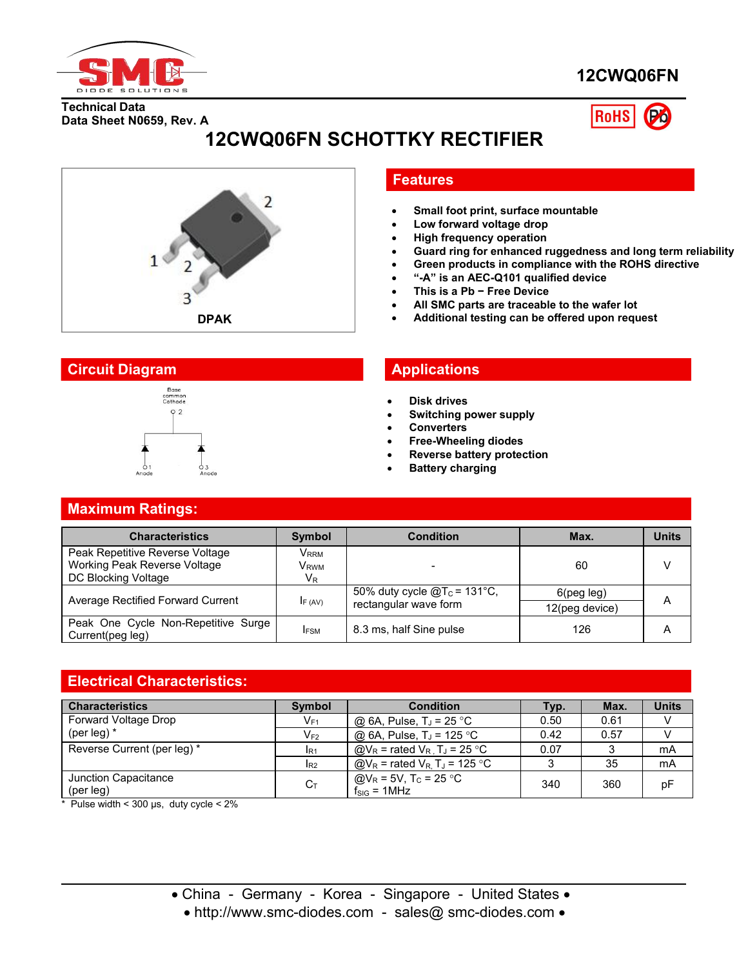

# **12CWQ06FN**

**Technical Data Data Sheet N0659, Rev. A**



# **12CWQ06FN SCHOTTKY RECTIFIER**



#### **Features**

- **Small foot print, surface mountable**
- **Low forward voltage drop**
- **High frequency operation**
- **Guard ring for enhanced ruggedness and long term reliability**
- **Green products in compliance with the ROHS directive**
- **"-A" is an AEC-Q101 qualified device**
- **This is a Pb − Free Device**
- **All SMC parts are traceable to the wafer lot**
- **Additional testing can be offered upon request**

#### **Circuit Diagram Applications**



- **Disk drives**
- **Switching power supply**
- **Converters**
- **Free-Wheeling diodes**
- **Reverse battery protection**
- **Battery charging**

### **Maximum Ratings:**

| <b>Characteristics</b>                                                                 | <b>Symbol</b>                  | <b>Condition</b>                                         | Max.                            | <b>Units</b> |
|----------------------------------------------------------------------------------------|--------------------------------|----------------------------------------------------------|---------------------------------|--------------|
| Peak Repetitive Reverse Voltage<br>Working Peak Reverse Voltage<br>DC Blocking Voltage | Vrrm<br>V <sub>RWM</sub><br>VR |                                                          | 60                              |              |
| Average Rectified Forward Current                                                      | F(AV)                          | 50% duty cycle $@T_c = 131°C$ ,<br>rectangular wave form | $6$ (peg leg)<br>12(peg device) | Α            |
| Peak One Cycle Non-Repetitive Surge<br>Current(peg leg)                                | <b>IFSM</b>                    | 8.3 ms, half Sine pulse                                  | 126                             | Α            |

### **Electrical Characteristics:**

| <b>Characteristics</b>      | <b>Symbol</b> | <b>Condition</b>                                                               | Typ. | Max. | <b>Units</b> |
|-----------------------------|---------------|--------------------------------------------------------------------------------|------|------|--------------|
| Forward Voltage Drop        | $V_{F1}$      | @ 6A, Pulse, $T_J$ = 25 °C                                                     | 0.50 | 0.61 |              |
| (per leg) $*$               | $V_{F2}$      | @ 6A, Pulse, T <sub>J</sub> = 125 °C                                           | 0.42 | 0.57 |              |
| Reverse Current (per leg) * | $I_{R1}$      | $\textcircled{a}V_{\text{R}}$ = rated $V_{\text{R}}$ , T <sub>J</sub> = 25 °C  | 0.07 |      | mA           |
|                             | $I_{R2}$      | $\textcircled{a}V_{\text{R}}$ = rated $V_{\text{R}}$ , T <sub>J</sub> = 125 °C |      | 35   | mA           |
| Junction Capacitance        | $C_T$         | @V <sub>R</sub> = 5V, T <sub>C</sub> = 25 °C                                   | 340  | 360  | рF           |
| (per leg)                   |               | $f_{\text{SIG}} = 1$ MHz                                                       |      |      |              |

 $*$  Pulse width < 300 µs, duty cycle < 2%

• http://www.smc-diodes.com - sales@ smc-diodes.com •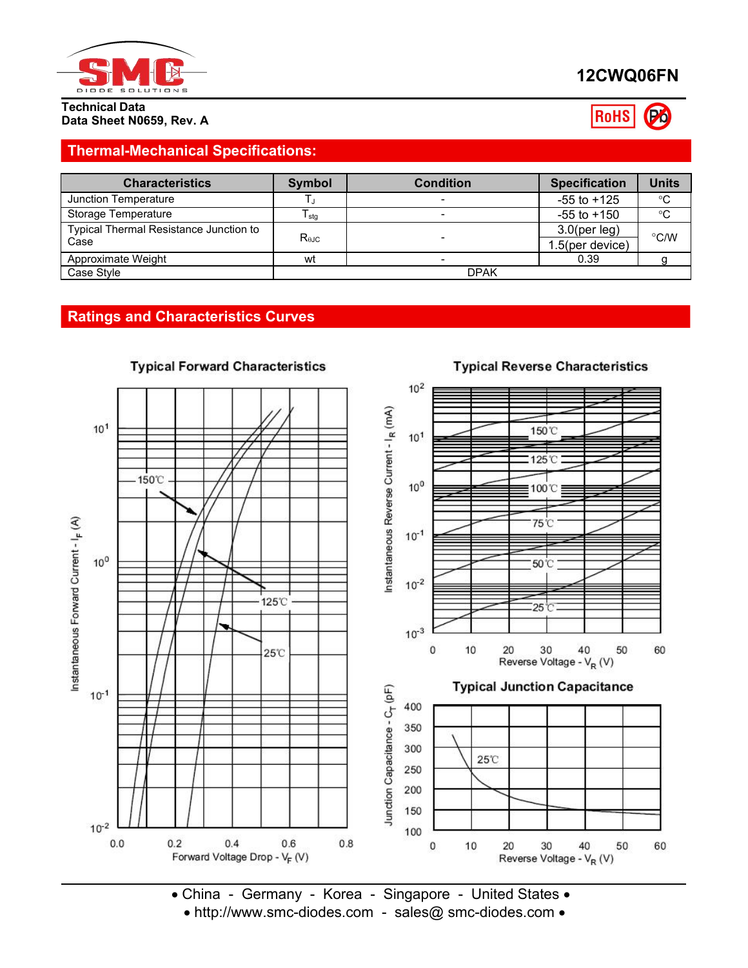

# **12CWQ06FN**



#### **Technical Data Data Sheet N0659, Rev. A**

## **Thermal-Mechanical Specifications:**

| <b>Characteristics</b>                 | Symbol         | <b>Condition</b> | <b>Specification</b> | <b>Units</b> |
|----------------------------------------|----------------|------------------|----------------------|--------------|
| Junction Temperature                   |                |                  | $-55$ to $+125$      | $^{\circ}C$  |
| Storage Temperature                    | I stg          |                  | $-55$ to $+150$      | °C           |
| Typical Thermal Resistance Junction to |                |                  | $3.0$ (per leg)      | °C/W         |
| Case                                   | $R_{\theta$ JC |                  | 1.5(per device)      |              |
| Approximate Weight                     | wt             |                  | 0.39                 |              |
| Case Style                             | <b>DPAK</b>    |                  |                      |              |

## **Ratings and Characteristics Curves**



**Typical Forward Characteristics** 

# **Typical Reverse Characteristics**

 China - Germany - Korea - Singapore - United States • http://www.smc-diodes.com - sales@ smc-diodes.com •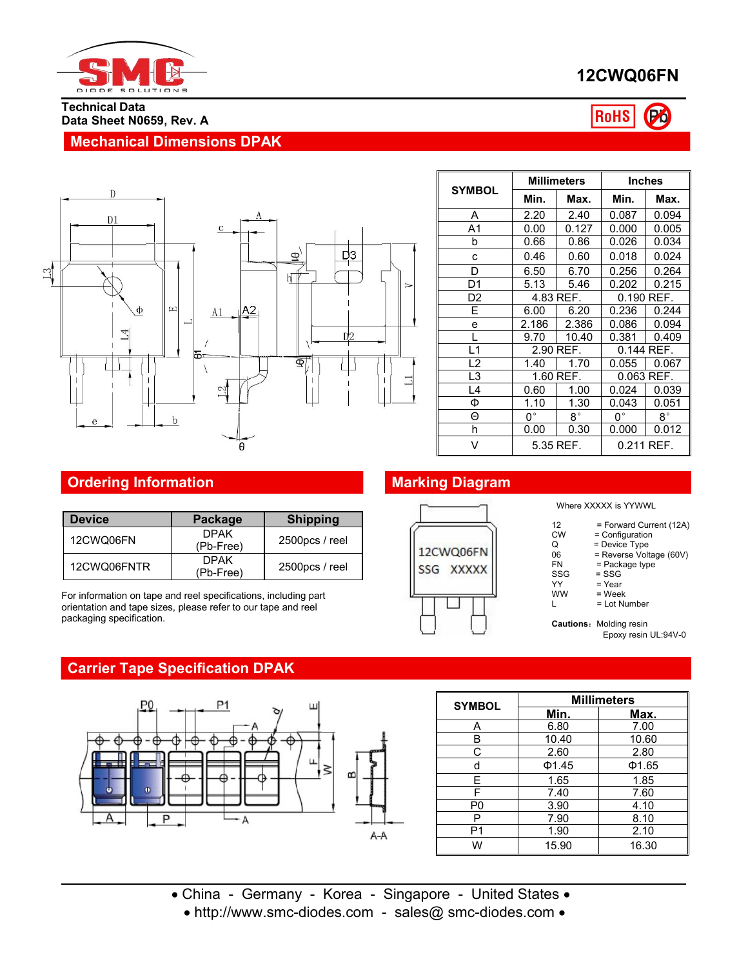

**Data Sheet N0659, Rev. A**

**Mechanical Dimensions DPAK**

**Technical Data**

# **12CWQ06FN**

#### Po **RoHS**



|                | <b>Millimeters</b> |           |              | <b>Inches</b> |
|----------------|--------------------|-----------|--------------|---------------|
| <b>SYMBOL</b>  | Min.               | Max.      | Min.         | Max.          |
| A              | 2.20               | 2.40      | 0.087        | 0.094         |
| A <sub>1</sub> | 0.00               | 0.127     | 0.000        | 0.005         |
| b              | 0.66               | 0.86      | 0.026        | 0.034         |
| c              | 0.46               | 0.60      | 0.018        | 0.024         |
| D              | 6.50               | 6.70      | 0.256        | 0.264         |
| D1             | 5.13               | 5.46      | 0.202        | 0.215         |
| D <sub>2</sub> | 4.83 REF.          |           | $0.190$ REF. |               |
| E              | 6.00               | 6.20      | 0.236        | 0.244         |
| e              | 2.186              | 2.386     | 0.086        | 0.094         |
|                | 9.70               | 10.40     | 0.381        | 0.409         |
| L1             | 2.90 REF.          |           | 0.144 REF.   |               |
| L2             | 1.40               | 1.70      | 0.055        | 0.067         |
| L3             | 1.60 REF.          |           | 0.063 REF.   |               |
| L4             | 0.60               | 1.00      | 0.024        | 0.039         |
| Φ              | 1.10               | 1.30      | 0.043        | 0.051         |
| Θ              | $0^{\circ}$        | 8°        | $0^{\circ}$  | $8^{\circ}$   |
| h              | 0.00               | 0.30      | 0.000        | 0.012         |
| V              |                    | 5.35 REF. |              | 0.211 REF.    |

## **Ordering Information Marking Diagram**

| <b>Device</b> | Package                    | <b>Shipping</b> |                           |
|---------------|----------------------------|-----------------|---------------------------|
| 12CWQ06FN     | <b>DPAK</b><br>$(Pb-Free)$ | 2500pcs / reel  | 12CWQ06F                  |
| 12CWQ06FNTR   | <b>DPAK</b><br>(Pb-Free)   | 2500pcs / reel  | <b>XXXX</b><br><b>SSG</b> |

For information on tape and reel specifications, including part orientation and tape sizes, please refer to our tape and reel packaging specification.

# **Carrier Tape Specification DPAK**



| <b>SYMBOL</b>  | <b>Millimeters</b> |       |  |  |
|----------------|--------------------|-------|--|--|
|                | Min.               | Max.  |  |  |
| A              | 6.80               | 7.00  |  |  |
| B              | 10.40              | 10.60 |  |  |
| С              | 2.60               | 2.80  |  |  |
| d              | Φ1.45              | Φ1.65 |  |  |
| F.             | 1.65               | 1.85  |  |  |
| F              | 7.40               | 7.60  |  |  |
| P <sub>0</sub> | 3.90               | 4.10  |  |  |
| P              | 7.90               | 8.10  |  |  |
| P <sub>1</sub> | 1.90               | 2.10  |  |  |
| W              | 15.90              | 16.30 |  |  |

- China Germany Korea Singapore United States
	- http://www.smc-diodes.com sales@ smc-diodes.com •



Where XXXXX is YYWWL

- 12 = Forward Current (12A)<br>CW = Configuration
- CW = Configuration<br>Q = Device Type
- $Q = Device Type$
- 06 = Reverse Voltage (60V)
- FN = Package type<sup>1</sup><br>SSG = SSG
- SSG = SSG<br>YY = Year
- YY = Year<br>WW = Weel
- $\begin{array}{lll}\n\text{WW} & = \text{Week} \\
\text{L} & = \text{Lot Nu}\n\end{array}$  $=$  Lot Number

**Cautions: Molding resin** Epoxy resin UL:94V-0